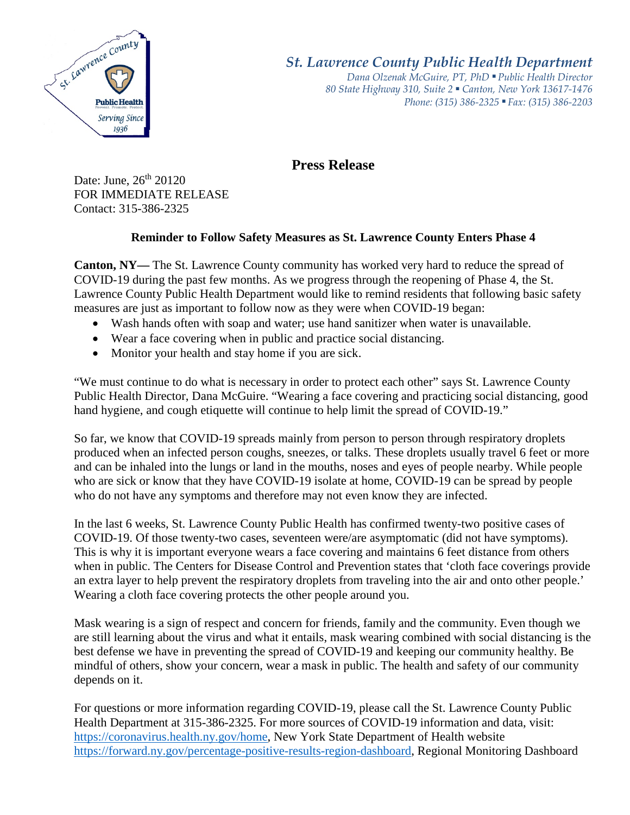

*St. Lawrence County Public Health Department*

*Dana Olzenak McGuire, PT, PhD ■ Public Health Director 80 State Highway 310, Suite 2 ■ Canton, New York 13617-1476 Phone: (315) 386-2325* ■ *Fax: (315) 386-2203*

**Press Release** 

Date: June,  $26<sup>th</sup> 20120$ FOR IMMEDIATE RELEASE Contact: 315-386-2325

## **Reminder to Follow Safety Measures as St. Lawrence County Enters Phase 4**

**Canton, NY—** The St. Lawrence County community has worked very hard to reduce the spread of COVID-19 during the past few months. As we progress through the reopening of Phase 4, the St. Lawrence County Public Health Department would like to remind residents that following basic safety measures are just as important to follow now as they were when COVID-19 began:

- Wash hands often with soap and water; use hand sanitizer when water is unavailable.
- Wear a face covering when in public and practice social distancing.
- Monitor your health and stay home if you are sick.

"We must continue to do what is necessary in order to protect each other" says St. Lawrence County Public Health Director, Dana McGuire. "Wearing a face covering and practicing social distancing, good hand hygiene, and cough etiquette will continue to help limit the spread of COVID-19."

So far, we know that COVID-19 spreads mainly from person to person through respiratory droplets produced when an infected person coughs, sneezes, or talks. These droplets usually travel 6 feet or more and can be inhaled into the lungs or land in the mouths, noses and eyes of people nearby. While people who are sick or know that they have COVID-19 isolate at home, COVID-19 can be spread by people who do not have any symptoms and therefore may not even know they are infected.

In the last 6 weeks, St. Lawrence County Public Health has confirmed twenty-two positive cases of COVID-19. Of those twenty-two cases, seventeen were/are asymptomatic (did not have symptoms). This is why it is important everyone wears a face covering and maintains 6 feet distance from others when in public. The Centers for Disease Control and Prevention states that 'cloth face coverings provide an extra layer to help prevent the respiratory droplets from traveling into the air and onto other people.' Wearing a cloth face covering protects the other people around you.

Mask wearing is a sign of respect and concern for friends, family and the community. Even though we are still learning about the virus and what it entails, mask wearing combined with social distancing is the best defense we have in preventing the spread of COVID-19 and keeping our community healthy. Be mindful of others, show your concern, wear a mask in public. The health and safety of our community depends on it.

For questions or more information regarding COVID-19, please call the St. Lawrence County Public Health Department at 315-386-2325. For more sources of COVID-19 information and data, visit: [https://coronavirus.health.ny.gov/home,](https://coronavirus.health.ny.gov/home) New York State Department of Health website [https://forward.ny.gov/percentage-positive-results-region-dashboard,](https://forward.ny.gov/percentage-positive-results-region-dashboard) Regional Monitoring Dashboard